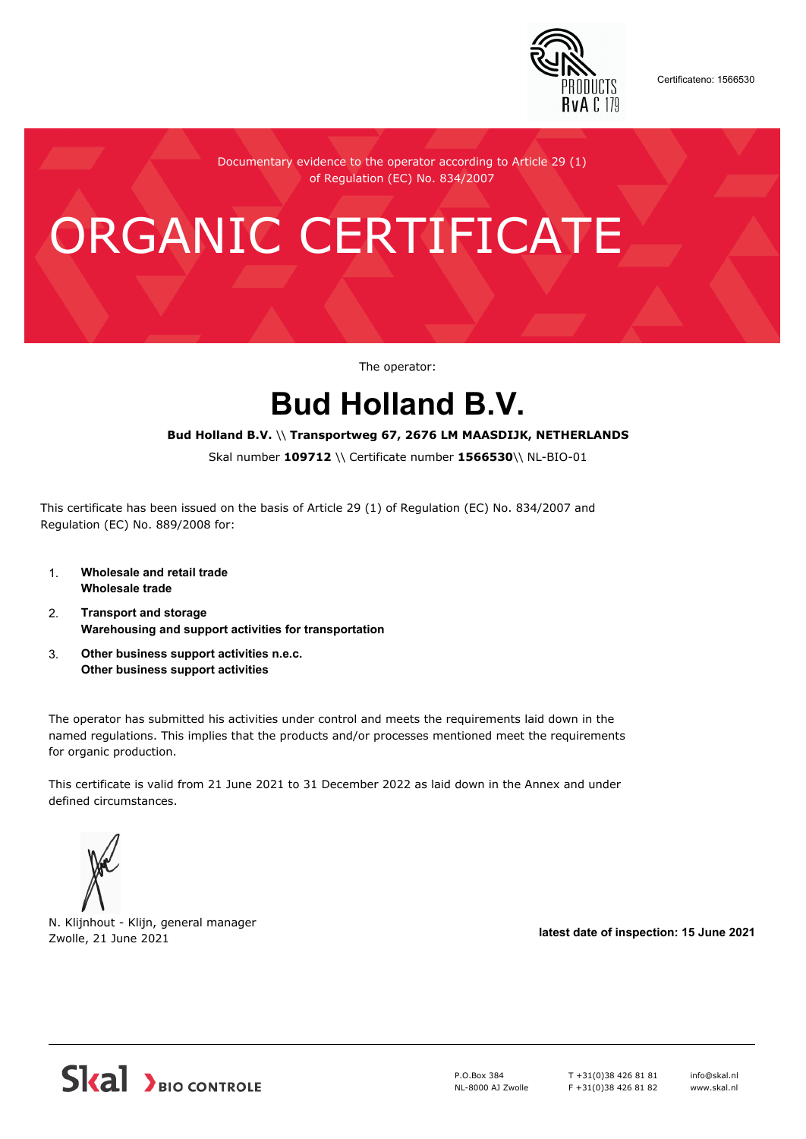

Certificateno: 1566530

Documentary evidence to the operator according to Article 29 (1) of Regulation (EC) No. 834/2007

# ORGANIC CERTIFICATE

The operator:

## **Bud Holland B.V.**

#### **Bud Holland B.V.** \\ **Transportweg 67, 2676 LM MAASDIJK, NETHERLANDS**

Skal number **109712** \\ Certificate number **1566530**\\ NL-BIO-01

This certificate has been issued on the basis of Article 29 (1) of Regulation (EC) No. 834/2007 and Regulation (EC) No. 889/2008 for:

- 1. **Wholesale and retail trade Wholesale trade**
- 2. **Transport and storage Warehousing and support activities for transportation**
- 3. **Other business support activities n.e.c. Other business support activities**

The operator has submitted his activities under control and meets the requirements laid down in the named regulations. This implies that the products and/or processes mentioned meet the requirements for organic production.

This certificate is valid from 21 June 2021 to 31 December 2022 as laid down in the Annex and under defined circumstances.



N. Klijnhout - Klijn, general manager Zwolle, 21 June 2021 **latest date of inspection: 15 June 2021**



P.O.Box 384 NL-8000 AJ Zwolle T +31(0)38 426 81 81 F +31(0)38 426 81 82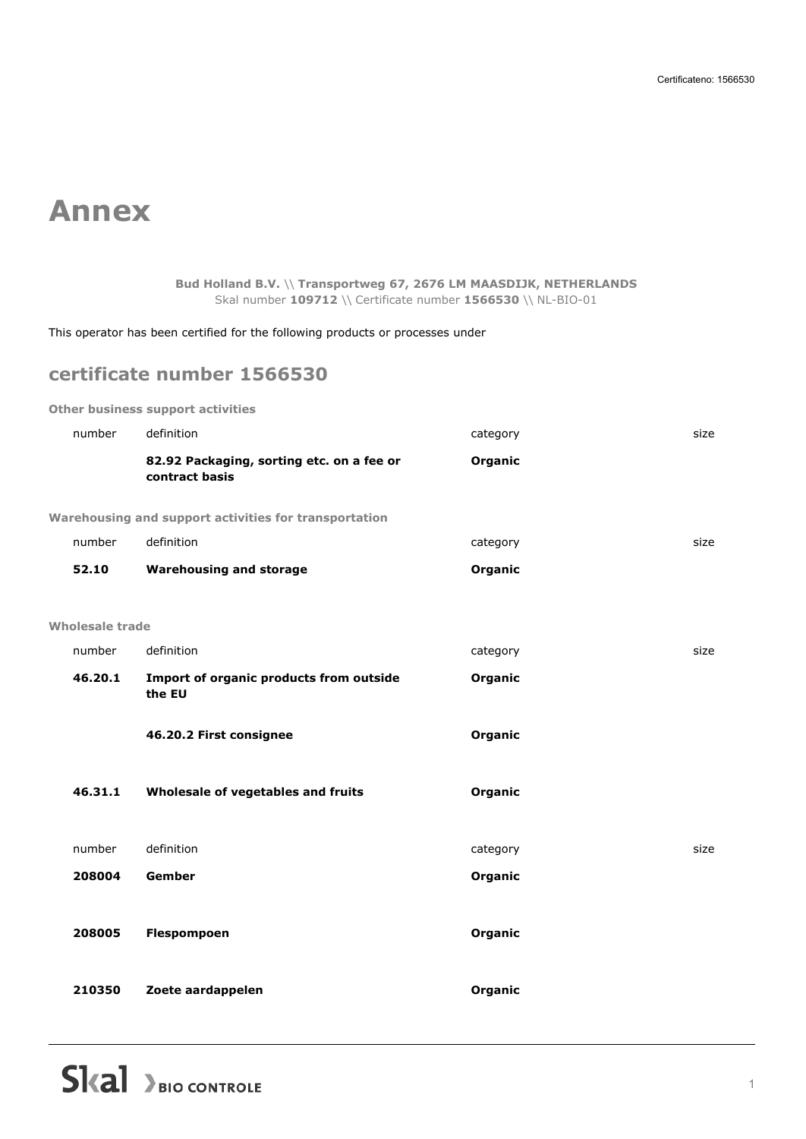## **Annex**

#### **Bud Holland B.V.** \\ **Transportweg 67, 2676 LM MAASDIJK, NETHERLANDS** Skal number **109712** \\ Certificate number **1566530** \\ NL-BIO-01

This operator has been certified for the following products or processes under

### **certificate number 1566530**

**Other business support activities**

| size |
|------|
|      |
|      |
| size |
|      |
|      |
|      |
| size |
|      |
|      |
|      |
|      |